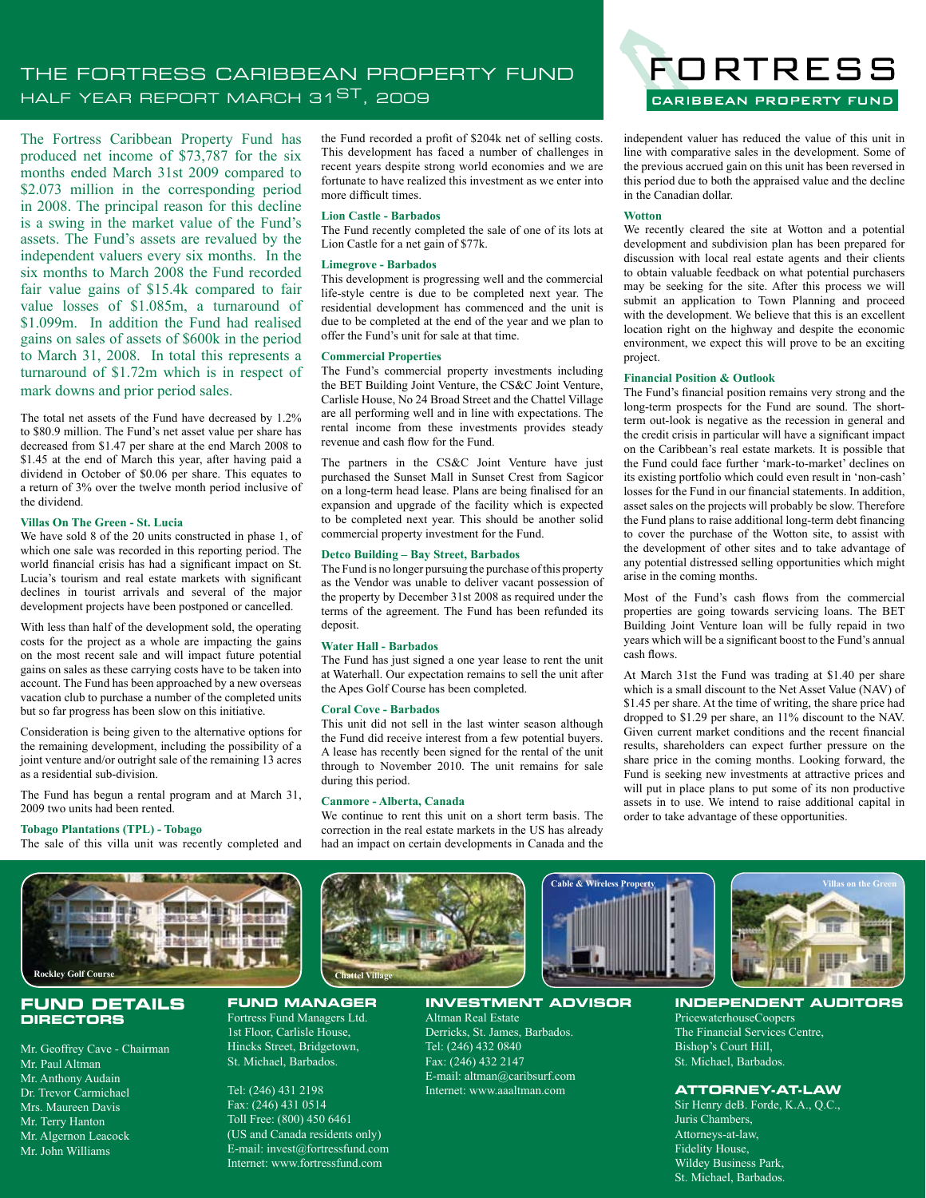# THE FORTRESS CARIBBEAN PROPERTY FUND HALF YEAR REPORT MARCH 31ST, 2009

The Fortress Caribbean Property Fund has produced net income of \$73,787 for the six months ended March 31st 2009 compared to \$2.073 million in the corresponding period in 2008. The principal reason for this decline is a swing in the market value of the Fund's assets. The Fund's assets are revalued by the independent valuers every six months. In the six months to March 2008 the Fund recorded fair value gains of \$15.4k compared to fair value losses of \$1.085m, a turnaround of \$1.099m. In addition the Fund had realised gains on sales of assets of \$600k in the period to March 31, 2008. In total this represents a turnaround of \$1.72m which is in respect of mark downs and prior period sales.

The total net assets of the Fund have decreased by 1.2% to \$80.9 million. The Fund's net asset value per share has decreased from \$1.47 per share at the end March 2008 to \$1.45 at the end of March this year, after having paid a dividend in October of \$0.06 per share. This equates to a return of 3% over the twelve month period inclusive of the dividend.

# **Villas On The Green - St. Lucia**

We have sold 8 of the 20 units constructed in phase 1, of which one sale was recorded in this reporting period. The world financial crisis has had a significant impact on St. Lucia's tourism and real estate markets with significant declines in tourist arrivals and several of the major development projects have been postponed or cancelled.

With less than half of the development sold, the operating costs for the project as a whole are impacting the gains on the most recent sale and will impact future potential gains on sales as these carrying costs have to be taken into account. The Fund has been approached by a new overseas vacation club to purchase a number of the completed units but so far progress has been slow on this initiative.

Consideration is being given to the alternative options for the remaining development, including the possibility of a joint venture and/or outright sale of the remaining 13 acres as a residential sub-division.

The Fund has begun a rental program and at March 31, 2009 two units had been rented.

#### **Tobago Plantations (TPL) - Tobago**

The sale of this villa unit was recently completed and



# **FUND DETAILS DIRECTORS**

Mr. Geoffrey Cave - Chairman Mr. Paul Altman Mr. Anthony Audain Dr. Trevor Carmichael Mrs. Maureen Davis Mr. Terry Hanton Mr. Algernon Leacock Mr. John Williams

the Fund recorded a profit of \$204k net of selling costs. This development has faced a number of challenges in recent years despite strong world economies and we are fortunate to have realized this investment as we enter into more difficult times.

## **Lion Castle - Barbados**

The Fund recently completed the sale of one of its lots at Lion Castle for a net gain of \$77k.

### **Limegrove - Barbados**

This development is progressing well and the commercial life-style centre is due to be completed next year. The residential development has commenced and the unit is due to be completed at the end of the year and we plan to offer the Fund's unit for sale at that time.

# **Commercial Properties**

The Fund's commercial property investments including the BET Building Joint Venture, the CS&C Joint Venture, Carlisle House, No 24 Broad Street and the Chattel Village are all performing well and in line with expectations. The rental income from these investments provides steady revenue and cash flow for the Fund.

The partners in the CS&C Joint Venture have just purchased the Sunset Mall in Sunset Crest from Sagicor on a long-term head lease. Plans are being finalised for an expansion and upgrade of the facility which is expected to be completed next year. This should be another solid commercial property investment for the Fund.

#### **Detco Building – Bay Street, Barbados**

The Fund is no longer pursuing the purchase of this property as the Vendor was unable to deliver vacant possession of the property by December 31st 2008 as required under the terms of the agreement. The Fund has been refunded its deposit.

#### **Water Hall - Barbados**

The Fund has just signed a one year lease to rent the unit at Waterhall. Our expectation remains to sell the unit after the Apes Golf Course has been completed.

### **Coral Cove - Barbados**

This unit did not sell in the last winter season although the Fund did receive interest from a few potential buyers. A lease has recently been signed for the rental of the unit through to November 2010. The unit remains for sale during this period.

#### **Canmore - Alberta, Canada**

Fortress Fund Managers Ltd. 1st Floor, Carlisle House, Hincks Street, Bridgetown, St. Michael, Barbados. Tel: (246) 431 2198 Fax: (246) 431 0514 Toll Free: (800) 450 6461 (US and Canada residents only) E-mail: invest@fortressfund.com Internet: www.fortressfund.com

We continue to rent this unit on a short term basis. The correction in the real estate markets in the US has already had an impact on certain developments in Canada and the

> Altman Real Estate Derricks, St. James, Barbados. Tel: (246) 432 0840 Fax: (246) 432 2147 E-mail: altman@caribsurf.com Internet: www.aaaltman.com



independent valuer has reduced the value of this unit in line with comparative sales in the development. Some of the previous accrued gain on this unit has been reversed in this period due to both the appraised value and the decline in the Canadian dollar.

#### **Wotton**

We recently cleared the site at Wotton and a potential development and subdivision plan has been prepared for discussion with local real estate agents and their clients to obtain valuable feedback on what potential purchasers may be seeking for the site. After this process we will submit an application to Town Planning and proceed with the development. We believe that this is an excellent location right on the highway and despite the economic environment, we expect this will prove to be an exciting project.

### **Financial Position & Outlook**

The Fund's financial position remains very strong and the long-term prospects for the Fund are sound. The shortterm out-look is negative as the recession in general and the credit crisis in particular will have a significant impact on the Caribbean's real estate markets. It is possible that the Fund could face further 'mark-to-market' declines on its existing portfolio which could even result in 'non-cash' losses for the Fund in our financial statements. In addition, asset sales on the projects will probably be slow. Therefore the Fund plans to raise additional long-term debt financing to cover the purchase of the Wotton site, to assist with the development of other sites and to take advantage of any potential distressed selling opportunities which might arise in the coming months.

Most of the Fund's cash flows from the commercial properties are going towards servicing loans. The BET Building Joint Venture loan will be fully repaid in two years which will be a significant boost to the Fund's annual cash flows.

At March 31st the Fund was trading at \$1.40 per share which is a small discount to the Net Asset Value (NAV) of \$1.45 per share. At the time of writing, the share price had dropped to \$1.29 per share, an 11% discount to the NAV. Given current market conditions and the recent financial results, shareholders can expect further pressure on the share price in the coming months. Looking forward, the Fund is seeking new investments at attractive prices and will put in place plans to put some of its non productive assets in to use. We intend to raise additional capital in order to take advantage of these opportunities.



# **INDEPENDENT AUDITORS**

PricewaterhouseCoopers The Financial Services Centre, Bishop's Court Hill, St. Michael, Barbados.

## **ATTORNEY-AT-LAW**

Sir Henry deB. Forde, K.A., Q.C., Juris Chambers, Attorneys-at-law, Fidelity House, Wildey Business Park, St. Michael, Barbados.